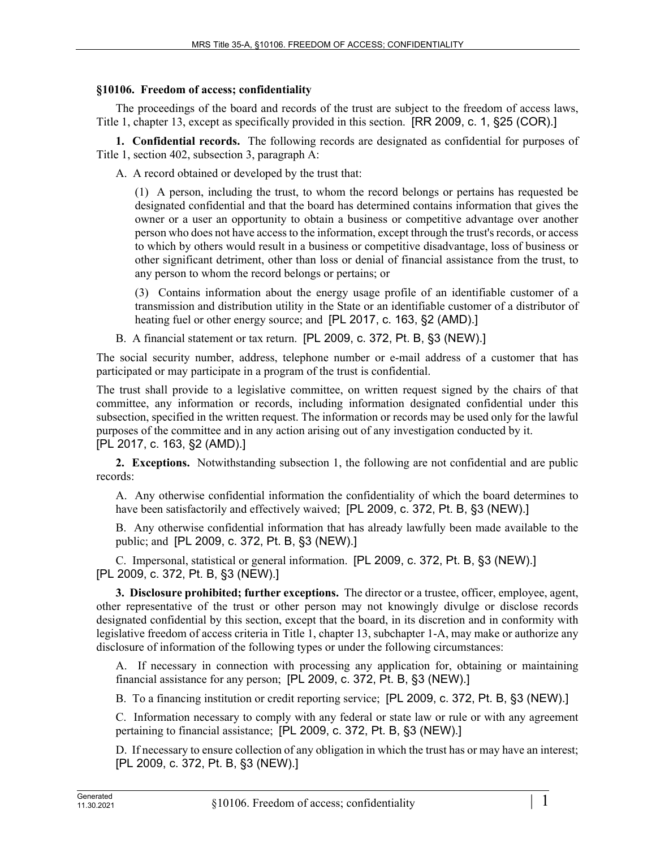## **§10106. Freedom of access; confidentiality**

The proceedings of the board and records of the trust are subject to the freedom of access laws, Title 1, chapter 13, except as specifically provided in this section. [RR 2009, c. 1, §25 (COR).]

**1. Confidential records.** The following records are designated as confidential for purposes of Title 1, section 402, subsection 3, paragraph A:

A. A record obtained or developed by the trust that:

(1) A person, including the trust, to whom the record belongs or pertains has requested be designated confidential and that the board has determined contains information that gives the owner or a user an opportunity to obtain a business or competitive advantage over another person who does not have access to the information, except through the trust's records, or access to which by others would result in a business or competitive disadvantage, loss of business or other significant detriment, other than loss or denial of financial assistance from the trust, to any person to whom the record belongs or pertains; or

(3) Contains information about the energy usage profile of an identifiable customer of a transmission and distribution utility in the State or an identifiable customer of a distributor of heating fuel or other energy source; and [PL 2017, c. 163, §2 (AMD).]

B. A financial statement or tax return. [PL 2009, c. 372, Pt. B, §3 (NEW).]

The social security number, address, telephone number or e-mail address of a customer that has participated or may participate in a program of the trust is confidential.

The trust shall provide to a legislative committee, on written request signed by the chairs of that committee, any information or records, including information designated confidential under this subsection, specified in the written request. The information or records may be used only for the lawful purposes of the committee and in any action arising out of any investigation conducted by it. [PL 2017, c. 163, §2 (AMD).]

**2. Exceptions.** Notwithstanding subsection 1, the following are not confidential and are public records:

A. Any otherwise confidential information the confidentiality of which the board determines to have been satisfactorily and effectively waived; [PL 2009, c. 372, Pt. B, §3 (NEW).]

B. Any otherwise confidential information that has already lawfully been made available to the public; and [PL 2009, c. 372, Pt. B, §3 (NEW).]

C. Impersonal, statistical or general information. [PL 2009, c. 372, Pt. B, §3 (NEW).] [PL 2009, c. 372, Pt. B, §3 (NEW).]

**3. Disclosure prohibited; further exceptions.** The director or a trustee, officer, employee, agent, other representative of the trust or other person may not knowingly divulge or disclose records designated confidential by this section, except that the board, in its discretion and in conformity with legislative freedom of access criteria in Title 1, chapter 13, subchapter 1-A, may make or authorize any disclosure of information of the following types or under the following circumstances:

A. If necessary in connection with processing any application for, obtaining or maintaining financial assistance for any person; [PL 2009, c. 372, Pt. B, §3 (NEW).]

B. To a financing institution or credit reporting service; [PL 2009, c. 372, Pt. B, §3 (NEW).]

C. Information necessary to comply with any federal or state law or rule or with any agreement pertaining to financial assistance; [PL 2009, c. 372, Pt. B, §3 (NEW).]

D. If necessary to ensure collection of any obligation in which the trust has or may have an interest; [PL 2009, c. 372, Pt. B, §3 (NEW).]